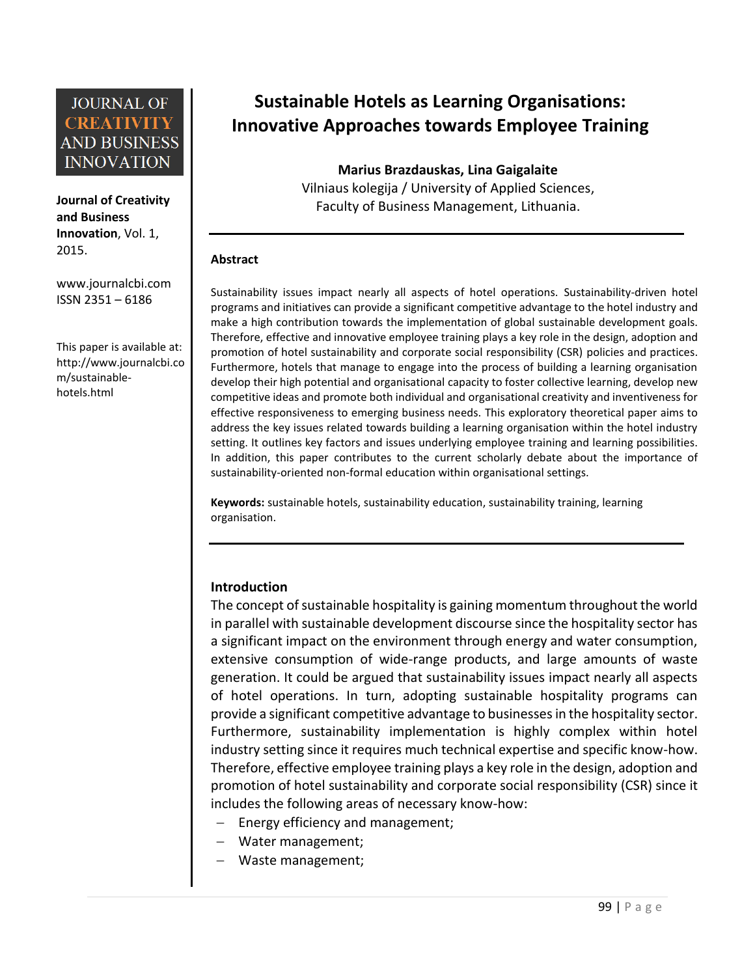**Journal of Creativity and Business Innovation**, Vol. 1, 2015.

[www.journalcbi.com](http://www.journalcbi.com/) ISSN 2351 – 6186

This paper is available at: [http://www.journalcbi.co](http://www.journalcbi.com/ideation-using-analogies.html) [m/sustainable](http://www.journalcbi.com/ideation-using-analogies.html)[hotels.html](http://www.journalcbi.com/ideation-using-analogies.html)

# **Sustainable Hotels as Learning Organisations: Innovative Approaches towards Employee Training**

**Marius Brazdauskas, Lina Gaigalaite** Vilniaus kolegija / University of Applied Sciences, Faculty of Business Management, Lithuania.

#### **Abstract**

Sustainability issues impact nearly all aspects of hotel operations. Sustainability-driven hotel programs and initiatives can provide a significant competitive advantage to the hotel industry and make a high contribution towards the implementation of global sustainable development goals. Therefore, effective and innovative employee training plays a key role in the design, adoption and promotion of hotel sustainability and corporate social responsibility (CSR) policies and practices. Furthermore, hotels that manage to engage into the process of building a learning organisation develop their high potential and organisational capacity to foster collective learning, develop new competitive ideas and promote both individual and organisational creativity and inventiveness for effective responsiveness to emerging business needs. This exploratory theoretical paper aims to address the key issues related towards building a learning organisation within the hotel industry setting. It outlines key factors and issues underlying employee training and learning possibilities. In addition, this paper contributes to the current scholarly debate about the importance of sustainability-oriented non-formal education within organisational settings.

**Keywords:** sustainable hotels, sustainability education, sustainability training, learning organisation.

#### **Introduction**

The concept of sustainable hospitality is gaining momentum throughout the world in parallel with sustainable development discourse since the hospitality sector has a significant impact on the environment through energy and water consumption, extensive consumption of wide-range products, and large amounts of waste generation. It could be argued that sustainability issues impact nearly all aspects of hotel operations. In turn, adopting sustainable hospitality programs can provide a significant competitive advantage to businesses in the hospitality sector. Furthermore, sustainability implementation is highly complex within hotel industry setting since it requires much technical expertise and specific know-how. Therefore, effective employee training plays a key role in the design, adoption and promotion of hotel sustainability and corporate social responsibility (CSR) since it includes the following areas of necessary know-how:

- Energy efficiency and management;
- Water management;
- Waste management;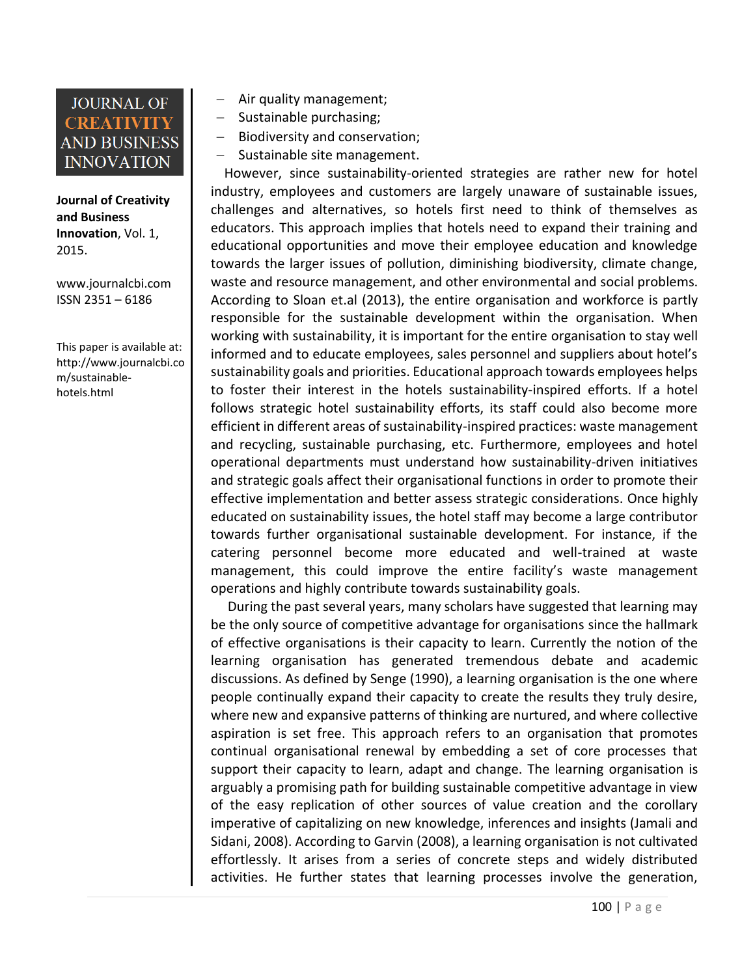**Journal of Creativity and Business Innovation**, Vol. 1, 2015.

[www.journalcbi.com](http://www.journalcbi.com/) ISSN 2351 – 6186

This paper is available at: [http://www.journalcbi.co](http://www.journalcbi.com/ideation-using-analogies.html) [m/sustainable](http://www.journalcbi.com/ideation-using-analogies.html)[hotels.html](http://www.journalcbi.com/ideation-using-analogies.html)

- Air quality management;
- Sustainable purchasing;
- Biodiversity and conservation;
- Sustainable site management.

 However, since sustainability-oriented strategies are rather new for hotel industry, employees and customers are largely unaware of sustainable issues, challenges and alternatives, so hotels first need to think of themselves as educators. This approach implies that hotels need to expand their training and educational opportunities and move their employee education and knowledge towards the larger issues of pollution, diminishing biodiversity, climate change, waste and resource management, and other environmental and social problems. According to Sloan et.al (2013), the entire organisation and workforce is partly responsible for the sustainable development within the organisation. When working with sustainability, it is important for the entire organisation to stay well informed and to educate employees, sales personnel and suppliers about hotel's sustainability goals and priorities. Educational approach towards employees helps to foster their interest in the hotels sustainability-inspired efforts. If a hotel follows strategic hotel sustainability efforts, its staff could also become more efficient in different areas of sustainability-inspired practices: waste management and recycling, sustainable purchasing, etc. Furthermore, employees and hotel operational departments must understand how sustainability-driven initiatives and strategic goals affect their organisational functions in order to promote their effective implementation and better assess strategic considerations. Once highly educated on sustainability issues, the hotel staff may become a large contributor towards further organisational sustainable development. For instance, if the catering personnel become more educated and well-trained at waste management, this could improve the entire facility's waste management operations and highly contribute towards sustainability goals.

 During the past several years, many scholars have suggested that learning may be the only source of competitive advantage for organisations since the hallmark of effective organisations is their capacity to learn. Currently the notion of the learning organisation has generated tremendous debate and academic discussions. As defined by Senge (1990), a learning organisation is the one where people continually expand their capacity to create the results they truly desire, where new and expansive patterns of thinking are nurtured, and where collective aspiration is set free. This approach refers to an organisation that promotes continual organisational renewal by embedding a set of core processes that support their capacity to learn, adapt and change. The learning organisation is arguably a promising path for building sustainable competitive advantage in view of the easy replication of other sources of value creation and the corollary imperative of capitalizing on new knowledge, inferences and insights (Jamali and Sidani, 2008). According to Garvin (2008), a learning organisation is not cultivated effortlessly. It arises from a series of concrete steps and widely distributed activities. He further states that learning processes involve the generation,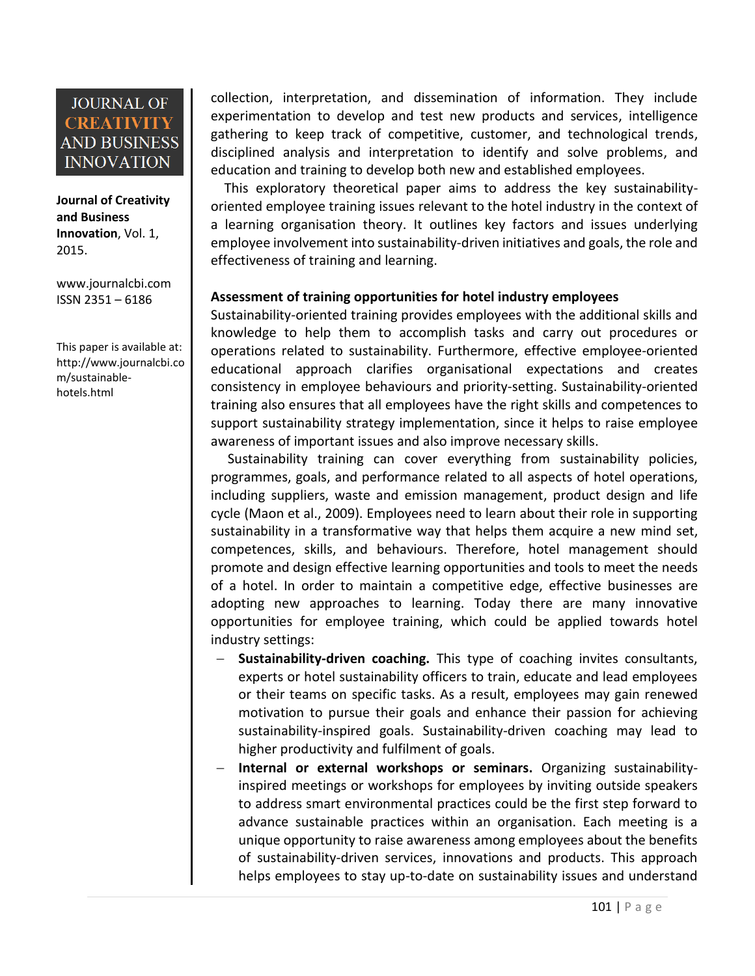**Journal of Creativity and Business Innovation**, Vol. 1, 2015.

[www.journalcbi.com](http://www.journalcbi.com/) ISSN 2351 – 6186

This paper is available at: [http://www.journalcbi.co](http://www.journalcbi.com/ideation-using-analogies.html) [m/sustainable](http://www.journalcbi.com/ideation-using-analogies.html)[hotels.html](http://www.journalcbi.com/ideation-using-analogies.html)

collection, interpretation, and dissemination of information. They include experimentation to develop and test new products and services, intelligence gathering to keep track of competitive, customer, and technological trends, disciplined analysis and interpretation to identify and solve problems, and education and training to develop both new and established employees.

 This exploratory theoretical paper aims to address the key sustainabilityoriented employee training issues relevant to the hotel industry in the context of a learning organisation theory. It outlines key factors and issues underlying employee involvement into sustainability-driven initiatives and goals, the role and effectiveness of training and learning.

#### **Assessment of training opportunities for hotel industry employees**

Sustainability-oriented training provides employees with the additional skills and knowledge to help them to accomplish tasks and carry out procedures or operations related to sustainability. Furthermore, effective employee-oriented educational approach clarifies organisational expectations and creates consistency in employee behaviours and priority-setting. Sustainability-oriented training also ensures that all employees have the right skills and competences to support sustainability strategy implementation, since it helps to raise employee awareness of important issues and also improve necessary skills.

 Sustainability training can cover everything from sustainability policies, programmes, goals, and performance related to all aspects of hotel operations, including suppliers, waste and emission management, product design and life cycle (Maon et al., 2009). Employees need to learn about their role in supporting sustainability in a transformative way that helps them acquire a new mind set, competences, skills, and behaviours. Therefore, hotel management should promote and design effective learning opportunities and tools to meet the needs of a hotel. In order to maintain a competitive edge, effective businesses are adopting new approaches to learning. Today there are many innovative opportunities for employee training, which could be applied towards hotel industry settings:

- **Sustainability-driven coaching.** This type of coaching invites consultants, experts or hotel sustainability officers to train, educate and lead employees or their teams on specific tasks. As a result, employees may gain renewed motivation to pursue their goals and enhance their passion for achieving sustainability-inspired goals. Sustainability-driven coaching may lead to higher productivity and fulfilment of goals.
- **Internal or external workshops or seminars.** Organizing sustainabilityinspired meetings or workshops for employees by inviting outside speakers to address smart environmental practices could be the first step forward to advance sustainable practices within an organisation. Each meeting is a unique opportunity to raise awareness among employees about the benefits of sustainability-driven services, innovations and products. This approach helps employees to stay up-to-date on sustainability issues and understand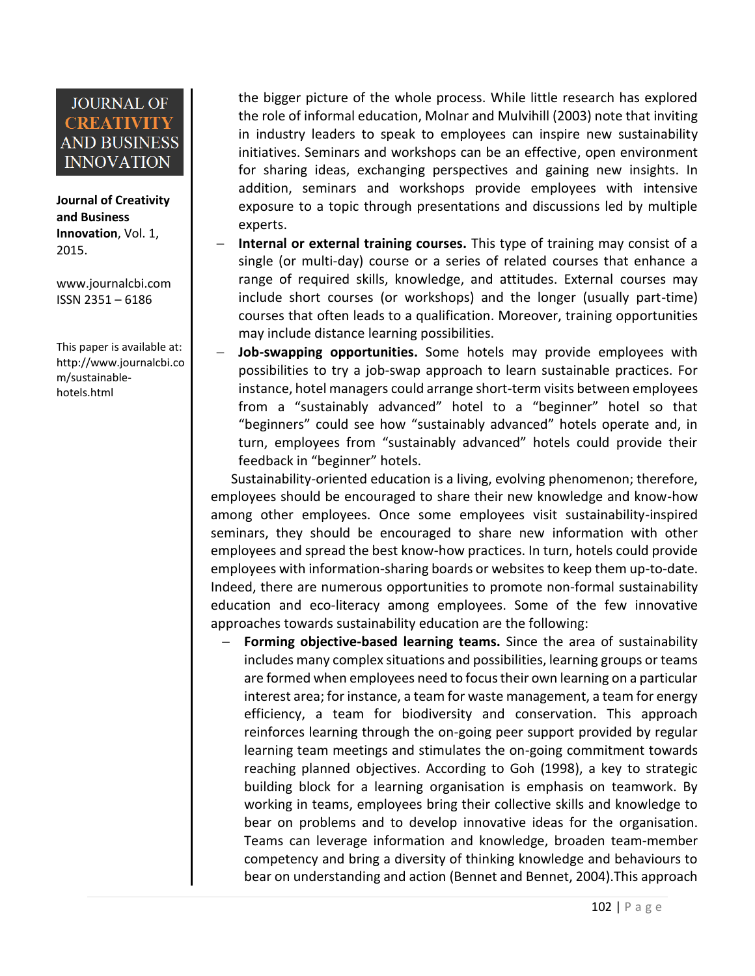**Journal of Creativity and Business Innovation**, Vol. 1, 2015.

[www.journalcbi.com](http://www.journalcbi.com/) ISSN 2351 – 6186

This paper is available at: [http://www.journalcbi.co](http://www.journalcbi.com/ideation-using-analogies.html) [m/sustainable](http://www.journalcbi.com/ideation-using-analogies.html)[hotels.html](http://www.journalcbi.com/ideation-using-analogies.html)

the bigger picture of the whole process. While little research has explored the role of informal education, Molnar and Mulvihill (2003) note that inviting in industry leaders to speak to employees can inspire new sustainability initiatives. Seminars and workshops can be an effective, open environment for sharing ideas, exchanging perspectives and gaining new insights. In addition, seminars and workshops provide employees with intensive exposure to a topic through presentations and discussions led by multiple experts.

- **Internal or external training courses.** This type of training may consist of a single (or multi-day) course or a series of related courses that enhance a range of required skills, knowledge, and attitudes. External courses may include short courses (or workshops) and the longer (usually part-time) courses that often leads to a qualification. Moreover, training opportunities may include distance learning possibilities.
- **Job-swapping opportunities.** Some hotels may provide employees with possibilities to try a job-swap approach to learn sustainable practices. For instance, hotel managers could arrange short-term visits between employees from a "sustainably advanced" hotel to a "beginner" hotel so that "beginners" could see how "sustainably advanced" hotels operate and, in turn, employees from "sustainably advanced" hotels could provide their feedback in "beginner" hotels.

 Sustainability-oriented education is a living, evolving phenomenon; therefore, employees should be encouraged to share their new knowledge and know-how among other employees. Once some employees visit sustainability-inspired seminars, they should be encouraged to share new information with other employees and spread the best know-how practices. In turn, hotels could provide employees with information-sharing boards or websites to keep them up-to-date. Indeed, there are numerous opportunities to promote non-formal sustainability education and eco-literacy among employees. Some of the few innovative approaches towards sustainability education are the following:

 **Forming objective-based learning teams.** Since the area of sustainability includes many complex situations and possibilities, learning groups or teams are formed when employees need to focus their own learning on a particular interest area; for instance, a team for waste management, a team for energy efficiency, a team for biodiversity and conservation. This approach reinforces learning through the on-going peer support provided by regular learning team meetings and stimulates the on-going commitment towards reaching planned objectives. According to Goh (1998), a key to strategic building block for a learning organisation is emphasis on teamwork. By working in teams, employees bring their collective skills and knowledge to bear on problems and to develop innovative ideas for the organisation. Teams can leverage information and knowledge, broaden team-member competency and bring a diversity of thinking knowledge and behaviours to bear on understanding and action (Bennet and Bennet, 2004).This approach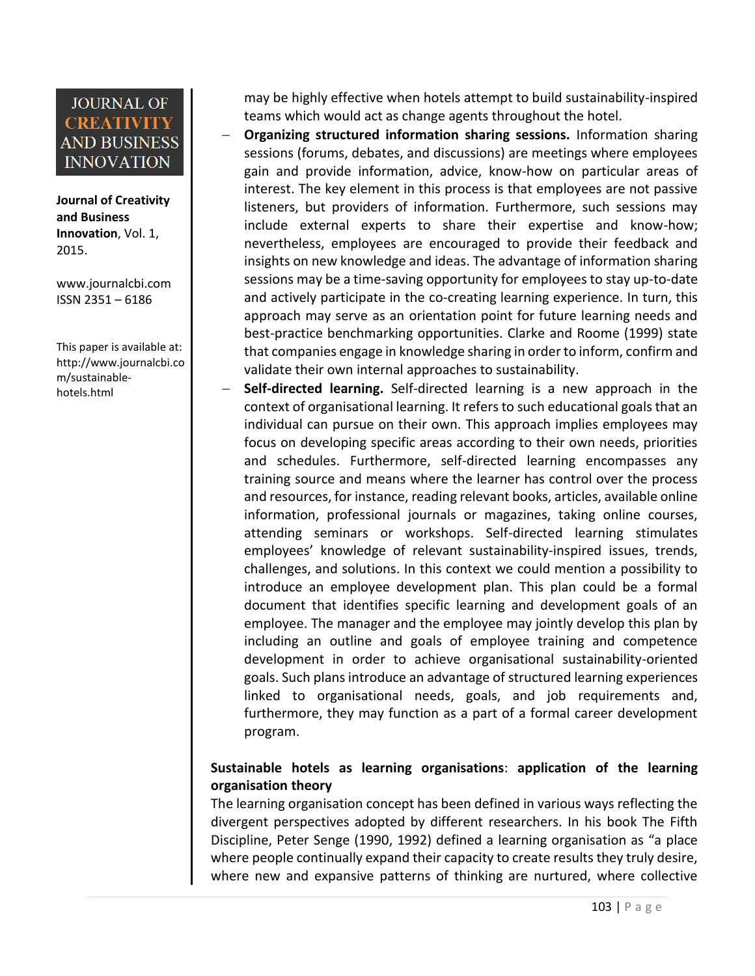**Journal of Creativity and Business Innovation**, Vol. 1, 2015.

[www.journalcbi.com](http://www.journalcbi.com/) ISSN 2351 – 6186

This paper is available at: [http://www.journalcbi.co](http://www.journalcbi.com/ideation-using-analogies.html) [m/sustainable](http://www.journalcbi.com/ideation-using-analogies.html)[hotels.html](http://www.journalcbi.com/ideation-using-analogies.html)

may be highly effective when hotels attempt to build sustainability-inspired teams which would act as change agents throughout the hotel.

- **Organizing structured information sharing sessions.** Information sharing sessions (forums, debates, and discussions) are meetings where employees gain and provide information, advice, know-how on particular areas of interest. The key element in this process is that employees are not passive listeners, but providers of information. Furthermore, such sessions may include external experts to share their expertise and know-how; nevertheless, employees are encouraged to provide their feedback and insights on new knowledge and ideas. The advantage of information sharing sessions may be a time-saving opportunity for employees to stay up-to-date and actively participate in the co-creating learning experience. In turn, this approach may serve as an orientation point for future learning needs and best-practice benchmarking opportunities. Clarke and Roome (1999) state that companies engage in knowledge sharing in order to inform, confirm and validate their own internal approaches to sustainability.
- **Self-directed learning.** Self-directed learning is a new approach in the context of organisational learning. It refers to such educational goals that an individual can pursue on their own. This approach implies employees may focus on developing specific areas according to their own needs, priorities and schedules. Furthermore, self-directed learning encompasses any training source and means where the learner has control over the process and resources, for instance, reading relevant books, articles, available online information, professional journals or magazines, taking online courses, attending seminars or workshops. Self-directed learning stimulates employees' knowledge of relevant sustainability-inspired issues, trends, challenges, and solutions. In this context we could mention a possibility to introduce an employee development plan. This plan could be a formal document that identifies specific learning and development goals of an employee. The manager and the employee may jointly develop this plan by including an outline and goals of employee training and competence development in order to achieve organisational sustainability-oriented goals. Such plans introduce an advantage of structured learning experiences linked to organisational needs, goals, and job requirements and, furthermore, they may function as a part of a formal career development program.

#### **Sustainable hotels as learning organisations**: **application of the learning organisation theory**

The learning organisation concept has been defined in various ways reflecting the divergent perspectives adopted by different researchers. In his book The Fifth Discipline, Peter Senge (1990, 1992) defined a learning organisation as "a place where people continually expand their capacity to create results they truly desire, where new and expansive patterns of thinking are nurtured, where collective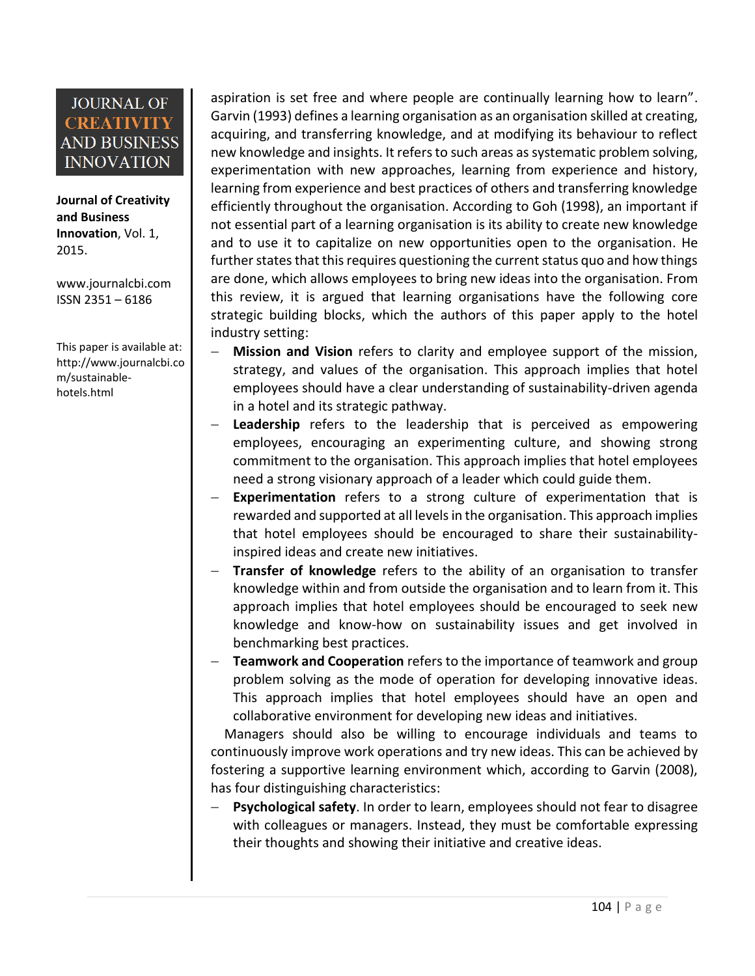**Journal of Creativity and Business Innovation**, Vol. 1, 2015.

[www.journalcbi.com](http://www.journalcbi.com/) ISSN 2351 – 6186

This paper is available at: [http://www.journalcbi.co](http://www.journalcbi.com/ideation-using-analogies.html) [m/sustainable](http://www.journalcbi.com/ideation-using-analogies.html)[hotels.html](http://www.journalcbi.com/ideation-using-analogies.html)

aspiration is set free and where people are continually learning how to learn". Garvin (1993) defines a learning organisation as an organisation skilled at creating, acquiring, and transferring knowledge, and at modifying its behaviour to reflect new knowledge and insights. It refers to such areas as systematic problem solving, experimentation with new approaches, learning from experience and history, learning from experience and best practices of others and transferring knowledge efficiently throughout the organisation. According to Goh (1998), an important if not essential part of a learning organisation is its ability to create new knowledge and to use it to capitalize on new opportunities open to the organisation. He further states that this requires questioning the current status quo and how things are done, which allows employees to bring new ideas into the organisation. From this review, it is argued that learning organisations have the following core strategic building blocks, which the authors of this paper apply to the hotel industry setting:

- **Mission and Vision** refers to clarity and employee support of the mission, strategy, and values of the organisation. This approach implies that hotel employees should have a clear understanding of sustainability-driven agenda in a hotel and its strategic pathway.
- **Leadership** refers to the leadership that is perceived as empowering employees, encouraging an experimenting culture, and showing strong commitment to the organisation. This approach implies that hotel employees need a strong visionary approach of a leader which could guide them.
- **Experimentation** refers to a strong culture of experimentation that is rewarded and supported at all levels in the organisation. This approach implies that hotel employees should be encouraged to share their sustainabilityinspired ideas and create new initiatives.
- **Transfer of knowledge** refers to the ability of an organisation to transfer knowledge within and from outside the organisation and to learn from it. This approach implies that hotel employees should be encouraged to seek new knowledge and know-how on sustainability issues and get involved in benchmarking best practices.
- **Teamwork and Cooperation** refers to the importance of teamwork and group problem solving as the mode of operation for developing innovative ideas. This approach implies that hotel employees should have an open and collaborative environment for developing new ideas and initiatives.

 Managers should also be willing to encourage individuals and teams to continuously improve work operations and try new ideas. This can be achieved by fostering a supportive learning environment which, according to Garvin (2008), has four distinguishing characteristics:

 **Psychological safety**. In order to learn, employees should not fear to disagree with colleagues or managers. Instead, they must be comfortable expressing their thoughts and showing their initiative and creative ideas.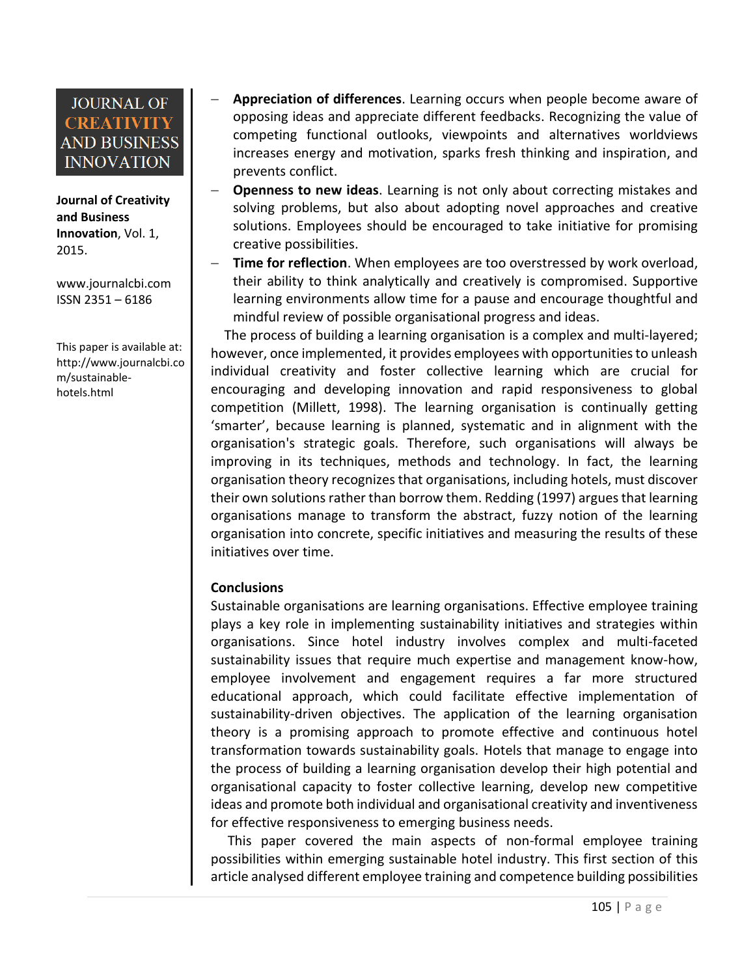**Journal of Creativity and Business Innovation**, Vol. 1, 2015.

[www.journalcbi.com](http://www.journalcbi.com/) ISSN 2351 – 6186

This paper is available at: [http://www.journalcbi.co](http://www.journalcbi.com/ideation-using-analogies.html) [m/sustainable](http://www.journalcbi.com/ideation-using-analogies.html)[hotels.html](http://www.journalcbi.com/ideation-using-analogies.html)

- **Appreciation of differences**. Learning occurs when people become aware of opposing ideas and appreciate different feedbacks. Recognizing the value of competing functional outlooks, viewpoints and alternatives worldviews increases energy and motivation, sparks fresh thinking and inspiration, and prevents conflict.
- **Openness to new ideas**. Learning is not only about correcting mistakes and solving problems, but also about adopting novel approaches and creative solutions. Employees should be encouraged to take initiative for promising creative possibilities.
- **Time for reflection**. When employees are too overstressed by work overload, their ability to think analytically and creatively is compromised. Supportive learning environments allow time for a pause and encourage thoughtful and mindful review of possible organisational progress and ideas.

 The process of building a learning organisation is a complex and multi-layered; however, once implemented, it provides employees with opportunities to unleash individual creativity and foster collective learning which are crucial for encouraging and developing innovation and rapid responsiveness to global competition (Millett, 1998). The learning organisation is continually getting 'smarter', because learning is planned, systematic and in alignment with the organisation's strategic goals. Therefore, such organisations will always be improving in its techniques, methods and technology. In fact, the learning organisation theory recognizes that organisations, including hotels, must discover their own solutions rather than borrow them. Redding (1997) argues that learning organisations manage to transform the abstract, fuzzy notion of the learning organisation into concrete, specific initiatives and measuring the results of these initiatives over time.

#### **Conclusions**

Sustainable organisations are learning organisations. Effective employee training plays a key role in implementing sustainability initiatives and strategies within organisations. Since hotel industry involves complex and multi-faceted sustainability issues that require much expertise and management know-how, employee involvement and engagement requires a far more structured educational approach, which could facilitate effective implementation of sustainability-driven objectives. The application of the learning organisation theory is a promising approach to promote effective and continuous hotel transformation towards sustainability goals. Hotels that manage to engage into the process of building a learning organisation develop their high potential and organisational capacity to foster collective learning, develop new competitive ideas and promote both individual and organisational creativity and inventiveness for effective responsiveness to emerging business needs.

 This paper covered the main aspects of non-formal employee training possibilities within emerging sustainable hotel industry. This first section of this article analysed different employee training and competence building possibilities